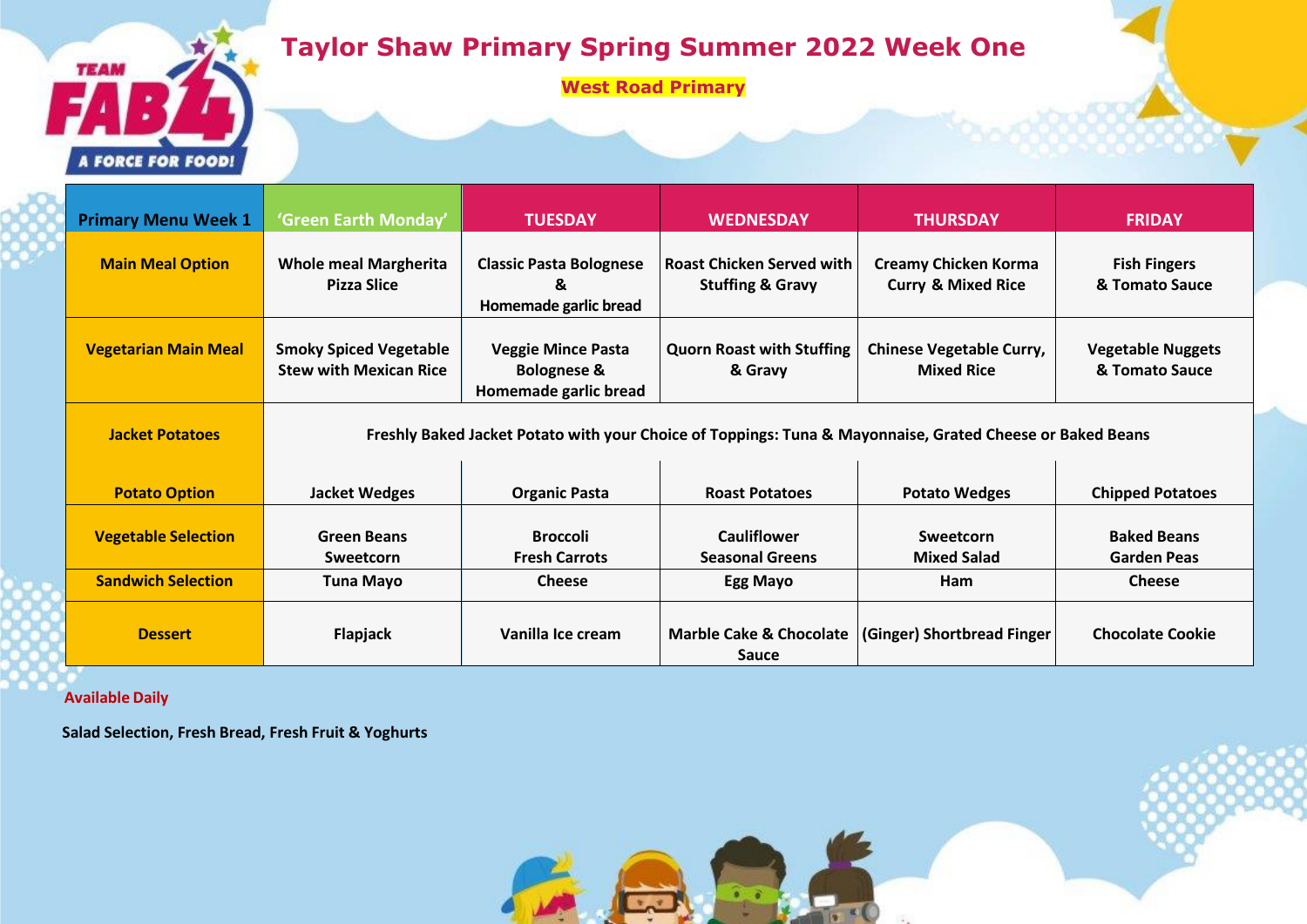## **Taylor Shaw Primary Spring Summer 2022 Week One**

**West Road Primary**

**Primary Menu Week 1 'Green Earth Monday' TUESDAY WEDNESDAY THURSDAY FRIDAY Main Meal Option Whole meal Margherita Pizza Slice Classic Pasta Bolognese & Homemade garlic bread Roast Chicken Served with Stuffing & Gravy Creamy Chicken Korma Curry & Mixed Rice Fish Fingers & Tomato Sauce Vegetarian Main Meal Smoky Spiced Vegetable Stew with Mexican Rice Veggie Mince Pasta Bolognese & Homemade garlic bread Quorn Roast with Stuffing & Gravy Chinese Vegetable Curry, Mixed Rice Vegetable Nuggets & Tomato Sauce Jacket Potatoes Freshly Baked Jacket Potato with your Choice of Toppings: Tuna & Mayonnaise, Grated Cheese or Baked Beans Potato Option Jacket Wedges Organic Pasta Roast Potatoes Potato Wedges Chipped Potatoes Vegetable Selection Green Beans Sweetcorn Broccoli Fresh Carrots Cauliflower Seasonal Greens Sweetcorn Mixed Salad Baked Beans Garden Peas**  $\begin{array}{c|c|c|c|c} \hline \text{Sandwich Selection} & \text{Tuna Mayo} & \text{[} & \text{Cheese} & \text{[} & \text{Egg Mayo} & \text{[} & \text{Cheese} \end{array}$ **Dessert Flapjack Vanilla Ice cream Marble Cake & Chocolate Propose Reserve Sauce (Ginger) Shortbread Finger Chocolate Cookie**

 **Available Daily**

**TEAM** 

**A FORCE FOR FOOD!** 

**Salad Selection, Fresh Bread, Fresh Fruit & Yoghurts**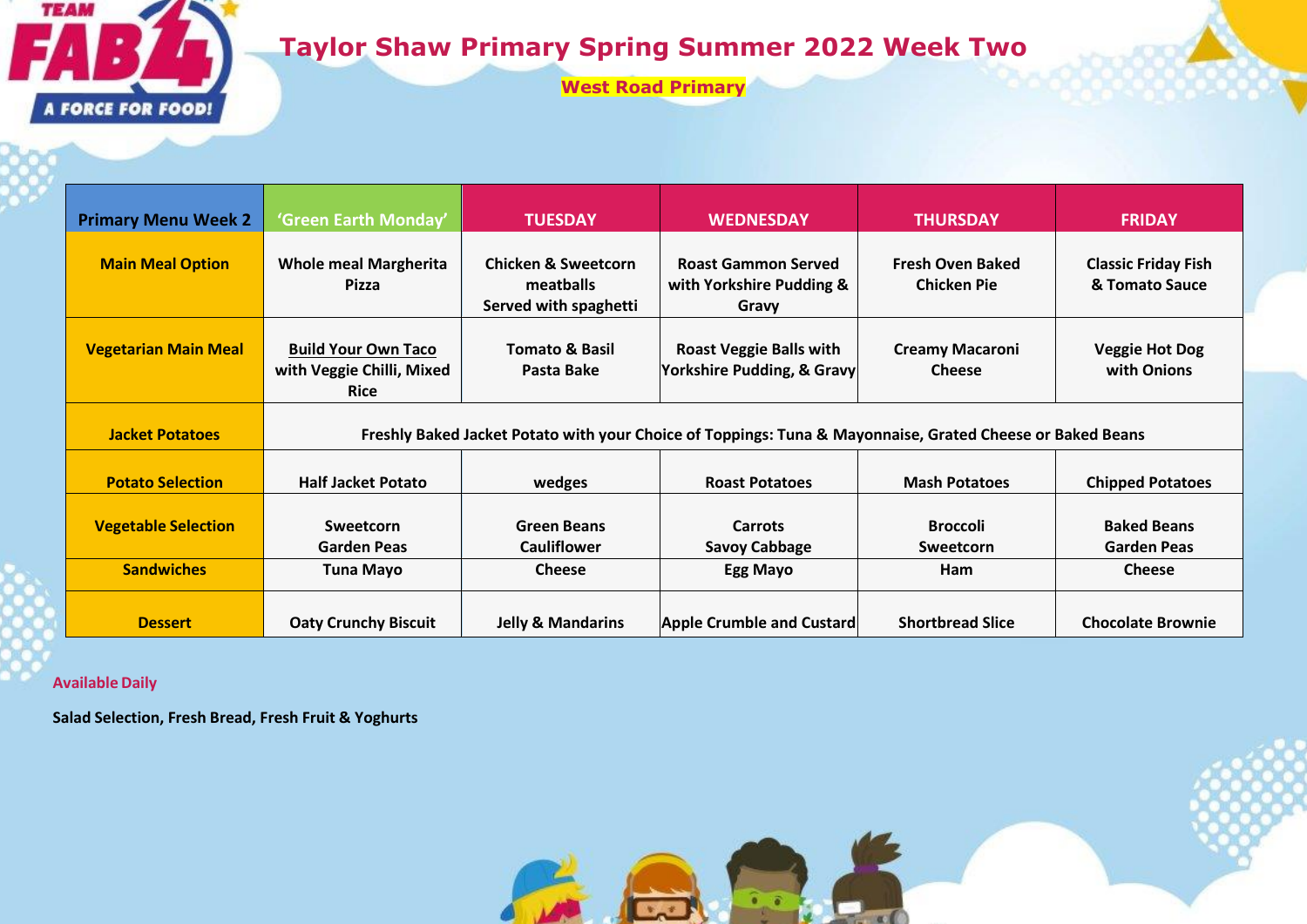

## **Taylor Shaw Primary Spring Summer 2022 Week Two**

**West Road Primary**

| <b>Primary Menu Week 2</b>  | 'Green Earth Monday'                                                                                      | <b>TUESDAY</b>                                                       | <b>WEDNESDAY</b>                                                | <b>THURSDAY</b>                               | <b>FRIDAY</b>                                |  |  |  |
|-----------------------------|-----------------------------------------------------------------------------------------------------------|----------------------------------------------------------------------|-----------------------------------------------------------------|-----------------------------------------------|----------------------------------------------|--|--|--|
| <b>Main Meal Option</b>     | <b>Whole meal Margherita</b><br>Pizza                                                                     | <b>Chicken &amp; Sweetcorn</b><br>meatballs<br>Served with spaghetti | <b>Roast Gammon Served</b><br>with Yorkshire Pudding &<br>Gravy | <b>Fresh Oven Baked</b><br><b>Chicken Pie</b> | <b>Classic Friday Fish</b><br>& Tomato Sauce |  |  |  |
| <b>Vegetarian Main Meal</b> | <b>Build Your Own Taco</b><br>with Veggie Chilli, Mixed<br><b>Rice</b>                                    | <b>Tomato &amp; Basil</b><br>Pasta Bake                              | <b>Roast Veggie Balls with</b><br>Yorkshire Pudding, & Gravy    | <b>Creamy Macaroni</b><br><b>Cheese</b>       | <b>Veggie Hot Dog</b><br>with Onions         |  |  |  |
| <b>Jacket Potatoes</b>      | Freshly Baked Jacket Potato with your Choice of Toppings: Tuna & Mayonnaise, Grated Cheese or Baked Beans |                                                                      |                                                                 |                                               |                                              |  |  |  |
| <b>Potato Selection</b>     | <b>Half Jacket Potato</b>                                                                                 | wedges                                                               | <b>Roast Potatoes</b>                                           | <b>Mash Potatoes</b>                          | <b>Chipped Potatoes</b>                      |  |  |  |
| <b>Vegetable Selection</b>  | Sweetcorn<br><b>Garden Peas</b>                                                                           | <b>Green Beans</b><br><b>Cauliflower</b>                             | <b>Carrots</b><br><b>Savoy Cabbage</b>                          | <b>Broccoli</b><br><b>Sweetcorn</b>           | <b>Baked Beans</b><br><b>Garden Peas</b>     |  |  |  |
| <b>Sandwiches</b>           | <b>Tuna Mayo</b>                                                                                          | <b>Cheese</b>                                                        | Egg Mayo                                                        | Ham                                           | <b>Cheese</b>                                |  |  |  |
| <b>Dessert</b>              | <b>Oaty Crunchy Biscuit</b>                                                                               | <b>Jelly &amp; Mandarins</b>                                         | <b>Apple Crumble and Custard</b>                                | <b>Shortbread Slice</b>                       | <b>Chocolate Brownie</b>                     |  |  |  |

**Available Daily**

**Salad Selection, Fresh Bread, Fresh Fruit & Yoghurts**